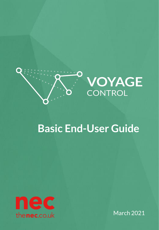

## **Basic End-User Guide**



March 2021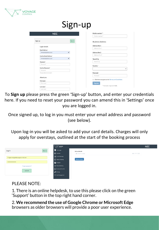

| Sign-up                                      |                                                 |
|----------------------------------------------|-------------------------------------------------|
| <b>NEC</b>                                   | Mobile number**                                 |
|                                              | Mobile number*                                  |
| Sign up<br>Sign in                           | <b>Business Address:</b>                        |
| Login details                                | Address line 1                                  |
|                                              | Address line 1                                  |
| Email Address *<br>ے<br>irmwales@yahoo.co.uk | <b>Address line 2</b>                           |
| <b>Confirm Email Address *</b>               | Address line 2                                  |
| irmwales@yahoo.co.uk                         | Town/City                                       |
| Password *                                   | Town/City                                       |
| Password                                     | Country <sup>*</sup>                            |
| Confirm Password *                           | $\checkmark$                                    |
| Password                                     |                                                 |
| Passwords do not match                       | Postcode <sup>+</sup>                           |
| About you                                    | Postcode                                        |
| First name*                                  | Click here to agree to the Terms and Conditions |
| First name                                   | <b>Register</b>                                 |
| Last name *                                  | * Indicates required fields.                    |
|                                              |                                                 |

To **Sign up** please press the green 'Sign-up' button, and enter your credentials here. If you need to reset your password you can amend this in 'Settings' once you are logged in.

Once signed up, to log in you must enter your email address and password (see below).

Upon log-in you will be asked to add your card details. Charges will only apply for overstays, outlined at the start of the booking process

| Homepage<br>Sign up<br>Log in<br>Add card details<br>Calendar<br>MM / YY CVC<br><b>Card number</b><br>$\equiv$ List of Bookings<br>imogen.morgan@voyagecontrol.com<br>Add card details<br>C Vehicle Tracking<br>$.$<br>Analytics<br>+ Make a Booking<br>Forgot password?<br>$\frac{100+8}{1000}$ Access points units<br>LOG IN<br>o <sup>o</sup> Settings<br>로 Hub Management |  | <b>VOYAGE</b> |  | <b>NEC</b> |
|-------------------------------------------------------------------------------------------------------------------------------------------------------------------------------------------------------------------------------------------------------------------------------------------------------------------------------------------------------------------------------|--|---------------|--|------------|
|                                                                                                                                                                                                                                                                                                                                                                               |  |               |  |            |
|                                                                                                                                                                                                                                                                                                                                                                               |  |               |  |            |
|                                                                                                                                                                                                                                                                                                                                                                               |  |               |  |            |
|                                                                                                                                                                                                                                                                                                                                                                               |  |               |  |            |
|                                                                                                                                                                                                                                                                                                                                                                               |  |               |  |            |
|                                                                                                                                                                                                                                                                                                                                                                               |  |               |  |            |
|                                                                                                                                                                                                                                                                                                                                                                               |  |               |  |            |
|                                                                                                                                                                                                                                                                                                                                                                               |  |               |  |            |
|                                                                                                                                                                                                                                                                                                                                                                               |  |               |  |            |

PLEASE NOTE:

1. There is an online helpdesk, to use this please click on the green 'Support' button in the top right hand corner.

2. **We recommend the use of Google Chrome or Microsoft Edge**  browsers as older browsers will provide a poor user experience.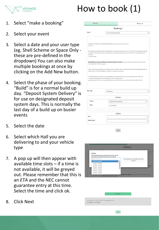## How to book (1)



- 1. Select "make a booking"
- 2. Select your event
- 3. Select a date and your user type (eg. Shell Scheme or Space Only these are pre-defined in the dropdown) You can also make multiple bookings at once by clicking on the Add New button.
- 4. Select the phase of your booking. "Build" is for a normal build up day. "Deposit System Delivery" is for use on designated deposit system days. This is normally the last day of a build up on busier events
- 5. Select the date
- 6. Select which Hall you are delivering to and your vehicle type
- 7. A pop up will then appear with available time slots – if a time is not available, it will be greyed out. Please remember that this is an *ETA* and the NEC cannot guarantee entry at this time. Select the time and click ok.

|                                                                                         |                         | $+$ Add new                                                                                                                                                                                                                                           |
|-----------------------------------------------------------------------------------------|-------------------------|-------------------------------------------------------------------------------------------------------------------------------------------------------------------------------------------------------------------------------------------------------|
|                                                                                         | Booking 1               |                                                                                                                                                                                                                                                       |
| Event <sup>*</sup>                                                                      | Leisure Food & Beverage |                                                                                                                                                                                                                                                       |
|                                                                                         |                         |                                                                                                                                                                                                                                                       |
| Welcome to the Leisure Food & Beverage NEC deposit system delivery booking<br>platform. |                         |                                                                                                                                                                                                                                                       |
| directed<br>to the fast track.                                                          |                         | By using this pre-booking facility you'll be able to use the fast track entry lane on arrival at the lorry park and not have<br>to queue at the booking in kiosk. Simply present your booking vehicle pass on arrival at the lorry park and you'll be |
| Do not go direct to the entry gates.                                                    |                         | Remember you must print off your pass and present it on arrival. You must check in at the lorry park on arrival.                                                                                                                                      |
|                                                                                         |                         |                                                                                                                                                                                                                                                       |
| either park on one of the exhibitor / contractor car parks or leave site.               |                         | Once you have delivered there is no need to return to the lorry park. Just leave the inner area via the gate house and                                                                                                                                |
| allocated unloading time to avoid the deposit system charge. A grace                    |                         | The ANPR system will check you out. Remember you must leave the inner area via the gate house within your<br>period allowance of 10 mins is provided for both travel from the lorry park to the hall and the hall to the exit.                        |
|                                                                                         | Contractor              |                                                                                                                                                                                                                                                       |
|                                                                                         |                         |                                                                                                                                                                                                                                                       |
|                                                                                         | Journey                 |                                                                                                                                                                                                                                                       |
| Phases                                                                                  | Deposit System Delivery |                                                                                                                                                                                                                                                       |
| Date*                                                                                   | 05/11/2019              |                                                                                                                                                                                                                                                       |
|                                                                                         | Vehicle                 |                                                                                                                                                                                                                                                       |
| User Type*<br>Hall*                                                                     |                         |                                                                                                                                                                                                                                                       |
| Vehicle Type*                                                                           |                         |                                                                                                                                                                                                                                                       |



Next

8. Click Next

 $Next$ 

.<br>Ire are your times (click Get Times again to edit

 $11:30:00 - 12:30:00$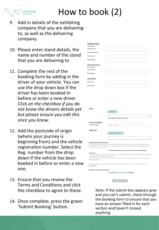

## How to book (2)

- 9. Add in details of the exhibiting company that you are delivering to, as well as the delivering company.
- 10. Please enter stand details, the name and number of the stand that you are delivering to
- 11. Complete the rest of the booking form by adding in the driver of your vehicle. You can use the drop down box if the driver has been booked in before or enter a new driver. *Click on the checkbox if you do not know the drivers details yet but please ensure you edit this once you know.*
- 12. Add the postcode of origin (where your journey is beginning from) and the vehicle registration number. Select the Reg. number from the drop down if the vehicle has been booked in before or enter a new one.
- 13. Ensure that you review the Terms and Conditions and click the checkbox to agree to these.
- 14. Once complete, press the green 'Submit Booking' button.

| xhibitor Company                                   |                                       |
|----------------------------------------------------|---------------------------------------|
| se my details                                      |                                       |
| ompany name*                                       |                                       |
| ame and Surname*                                   |                                       |
| mail address *                                     |                                       |
| lobile number*                                     |                                       |
| elivering Company<br>se my details<br>ompany name* | $\qquad \qquad \Box$                  |
|                                                    |                                       |
| mail address*                                      |                                       |
| tand Details                                       |                                       |
| tand name*                                         |                                       |
| tand number*                                       |                                       |
|                                                    |                                       |
|                                                    |                                       |
|                                                    |                                       |
|                                                    |                                       |
|                                                    |                                       |
| Driver                                             | + Add driver *                        |
|                                                    |                                       |
|                                                    | I do not know the driver at this time |
| Journey information                                |                                       |

|                                                                                        | + Add driver                                                                                                                                                                                                                                         |
|----------------------------------------------------------------------------------------|------------------------------------------------------------------------------------------------------------------------------------------------------------------------------------------------------------------------------------------------------|
|                                                                                        | $\checkmark$                                                                                                                                                                                                                                         |
|                                                                                        | I do not know the driver at this time                                                                                                                                                                                                                |
| purney information                                                                     |                                                                                                                                                                                                                                                      |
| * ostcode of origin                                                                    | Postcode of origin *                                                                                                                                                                                                                                 |
| ehicle Info                                                                            |                                                                                                                                                                                                                                                      |
|                                                                                        | + Add vehicle information                                                                                                                                                                                                                            |
|                                                                                        |                                                                                                                                                                                                                                                      |
|                                                                                        | ◡                                                                                                                                                                                                                                                    |
| <b>EC DATA PROTECTION OPTIONS</b><br>nsubscribe" in any of our emails.                 | he NEC Group would like to contact you by email about forthcoming events at our venues, offers and priority bookings<br>at we think you may be interested in. If you would prefer not to receive these emails, please tick the box below, or click   |
|                                                                                        | Do not send me emails about future events, offers or priority bookings.                                                                                                                                                                              |
| ease note:<br>rried out on the basis of our legitimate interests.<br>ookings you make. | You have legal rights to object to the processing of your data for marketing purposes and to object to any data processing<br>Even if you tick the box above, we my still need to send you service communications in relation to your account or any |
| rivacy Policy.                                                                         | or more information about the companies within The NEC Group and how we use your information, please see our                                                                                                                                         |
| <b>OOKING TERMS AND CONDITIONS</b>                                                     |                                                                                                                                                                                                                                                      |
|                                                                                        | In Laguage to the Tourse and Canditions of booking                                                                                                                                                                                                   |

Back Submit booking

Note: If the submit box appears grey and you can't submit, check through the booking form to ensure that you have an answer filled in for each section and haven't missed anything.